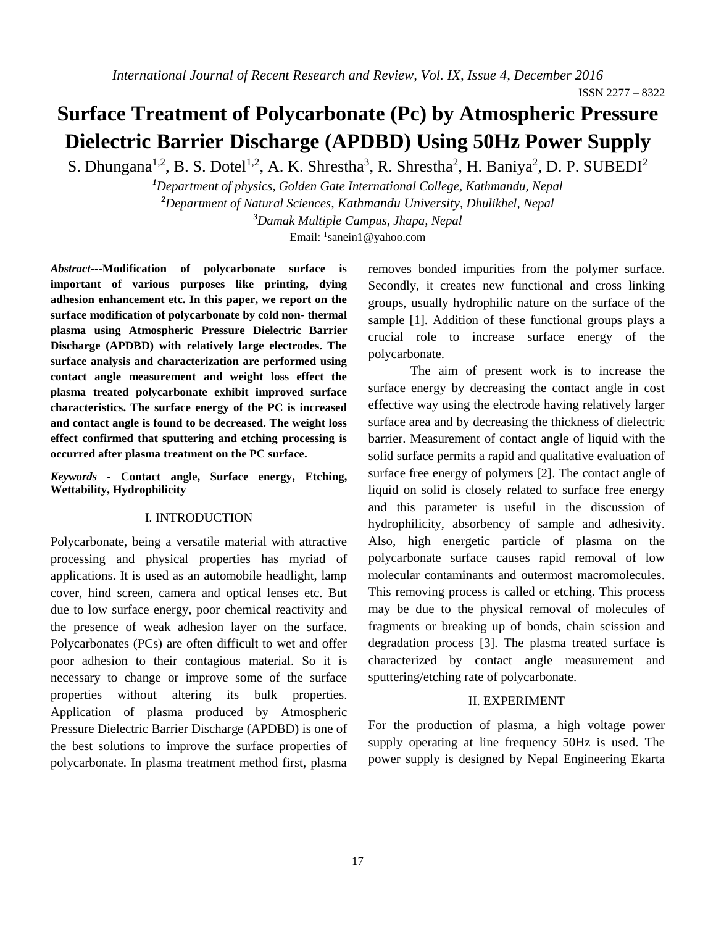# **Surface Treatment of Polycarbonate (Pc) by Atmospheric Pressure Dielectric Barrier Discharge (APDBD) Using 50Hz Power Supply**

S. Dhungana<sup>1,2</sup>, B. S. Dotel<sup>1,2</sup>, A. K. Shrestha<sup>3</sup>, R. Shrestha<sup>2</sup>, H. Baniya<sup>2</sup>, D. P. SUBEDI<sup>2</sup>

*<sup>1</sup>Department of physics, Golden Gate International College, Kathmandu, Nepal <sup>2</sup>Department of Natural Sciences, Kathmandu University, Dhulikhel, Nepal <sup>3</sup>Damak Multiple Campus, Jhapa, Nepal*

Email: <sup>1</sup>[sanein1@yahoo.com](mailto:sanein1@yahoo.com)

*Abstract***---Modification of polycarbonate surface is important of various purposes like printing, dying adhesion enhancement etc. In this paper, we report on the surface modification of polycarbonate by cold non- thermal plasma using Atmospheric Pressure Dielectric Barrier Discharge (APDBD) with relatively large electrodes. The surface analysis and characterization are performed using contact angle measurement and weight loss effect the plasma treated polycarbonate exhibit improved surface characteristics. The surface energy of the PC is increased and contact angle is found to be decreased. The weight loss effect confirmed that sputtering and etching processing is occurred after plasma treatment on the PC surface.**

*Keywords -* **Contact angle, Surface energy, Etching, Wettability, Hydrophilicity**

## I. INTRODUCTION

Polycarbonate, being a versatile material with attractive processing and physical properties has myriad of applications. It is used as an automobile headlight, lamp cover, hind screen, camera and optical lenses etc. But due to low surface energy, poor chemical reactivity and the presence of weak adhesion layer on the surface. Polycarbonates (PCs) are often difficult to wet and offer poor adhesion to their contagious material. So it is necessary to change or improve some of the surface properties without altering its bulk properties. Application of plasma produced by Atmospheric Pressure Dielectric Barrier Discharge (APDBD) is one of the best solutions to improve the surface properties of polycarbonate. In plasma treatment method first, plasma removes bonded impurities from the polymer surface. Secondly, it creates new functional and cross linking groups, usually hydrophilic nature on the surface of the sample [1]. Addition of these functional groups plays a crucial role to increase surface energy of the polycarbonate.

The aim of present work is to increase the surface energy by decreasing the contact angle in cost effective way using the electrode having relatively larger surface area and by decreasing the thickness of dielectric barrier. Measurement of contact angle of liquid with the solid surface permits a rapid and qualitative evaluation of surface free energy of polymers [2]. The contact angle of liquid on solid is closely related to surface free energy and this parameter is useful in the discussion of hydrophilicity, absorbency of sample and adhesivity. Also, high energetic particle of plasma on the polycarbonate surface causes rapid removal of low molecular contaminants and outermost macromolecules. This removing process is called or etching. This process may be due to the physical removal of molecules of fragments or breaking up of bonds, chain scission and degradation process [3]. The plasma treated surface is characterized by contact angle measurement and sputtering/etching rate of polycarbonate.

#### II. EXPERIMENT

For the production of plasma, a high voltage power supply operating at line frequency 50Hz is used. The power supply is designed by Nepal Engineering Ekarta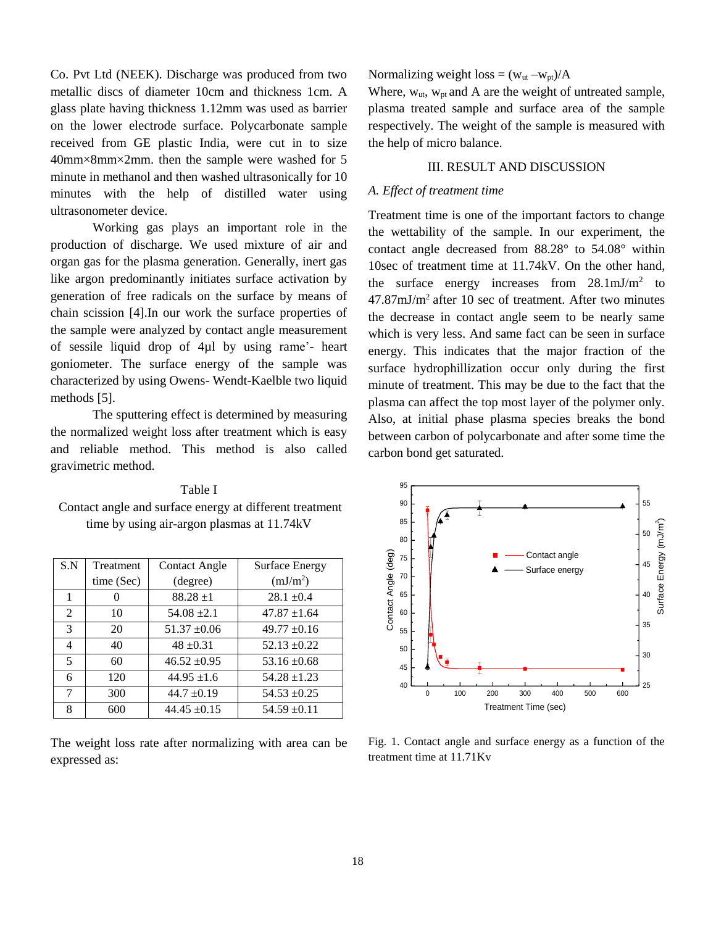Co. Pvt Ltd (NEEK). Discharge was produced from two metallic discs of diameter 10cm and thickness 1cm. A glass plate having thickness 1.12mm was used as barrier on the lower electrode surface. Polycarbonate sample received from GE plastic India, were cut in to size 40mm×8mm×2mm. then the sample were washed for 5 minute in methanol and then washed ultrasonically for 10 minutes with the help of distilled water using ultrasonometer device.

Working gas plays an important role in the production of discharge. We used mixture of air and organ gas for the plasma generation. Generally, inert gas like argon predominantly initiates surface activation by generation of free radicals on the surface by means of chain scission [4].In our work the surface properties of the sample were analyzed by contact angle measurement of sessile liquid drop of 4µl by using rame'- heart goniometer. The surface energy of the sample was characterized by using Owens- Wendt-Kaelble two liquid methods [5].

The sputtering effect is determined by measuring the normalized weight loss after treatment which is easy and reliable method. This method is also called gravimetric method.

Table I Contact angle and surface energy at different treatment time by using air-argon plasmas at 11.74kV

| S.N           | Treatment  | <b>Contact Angle</b> | <b>Surface Energy</b> |
|---------------|------------|----------------------|-----------------------|
|               | time (Sec) | (degree)             | (mJ/m <sup>2</sup> )  |
| 1             |            | $88.28 + 1$          | $28.1 \pm 0.4$        |
| 2             | 10         | $54.08 + 2.1$        | $47.87 \pm 1.64$      |
| $\mathcal{R}$ | 20         | $51.37 \pm 0.06$     | $49.77 \pm 0.16$      |
| 4             | 40         | $48 \pm 0.31$        | $52.13 \pm 0.22$      |
| 5             | 60         | $46.52 \pm 0.95$     | $53.16 \pm 0.68$      |
| 6             | 120        | $44.95 \pm 1.6$      | $54.28 \pm 1.23$      |
| 7             | 300        | $44.7 \pm 0.19$      | $54.53 \pm 0.25$      |
| 8             | 600        | $44.45 + 0.15$       | $54.59 \pm 0.11$      |

The weight loss rate after normalizing with area can be expressed as:

Normalizing weight loss =  $(w_{ut} - w_{pt})/A$ 

Where,  $W_{ut}$ ,  $W_{pt}$  and A are the weight of untreated sample, plasma treated sample and surface area of the sample respectively. The weight of the sample is measured with the help of micro balance.

# III. RESULT AND DISCUSSION

#### *A. Effect of treatment time*

Treatment time is one of the important factors to change the wettability of the sample. In our experiment, the contact angle decreased from 88.28° to 54.08° within 10sec of treatment time at 11.74kV. On the other hand, the surface energy increases from  $28.1 \text{mJ/m}^2$  to 47.87mJ/m<sup>2</sup>after 10 sec of treatment. After two minutes the decrease in contact angle seem to be nearly same which is very less. And same fact can be seen in surface energy. This indicates that the major fraction of the surface hydrophillization occur only during the first minute of treatment. This may be due to the fact that the plasma can affect the top most layer of the polymer only. Also, at initial phase plasma species breaks the bond between carbon of polycarbonate and after some time the carbon bond get saturated.



Fig. 1. Contact angle and surface energy as a function of the treatment time at 11.71Kv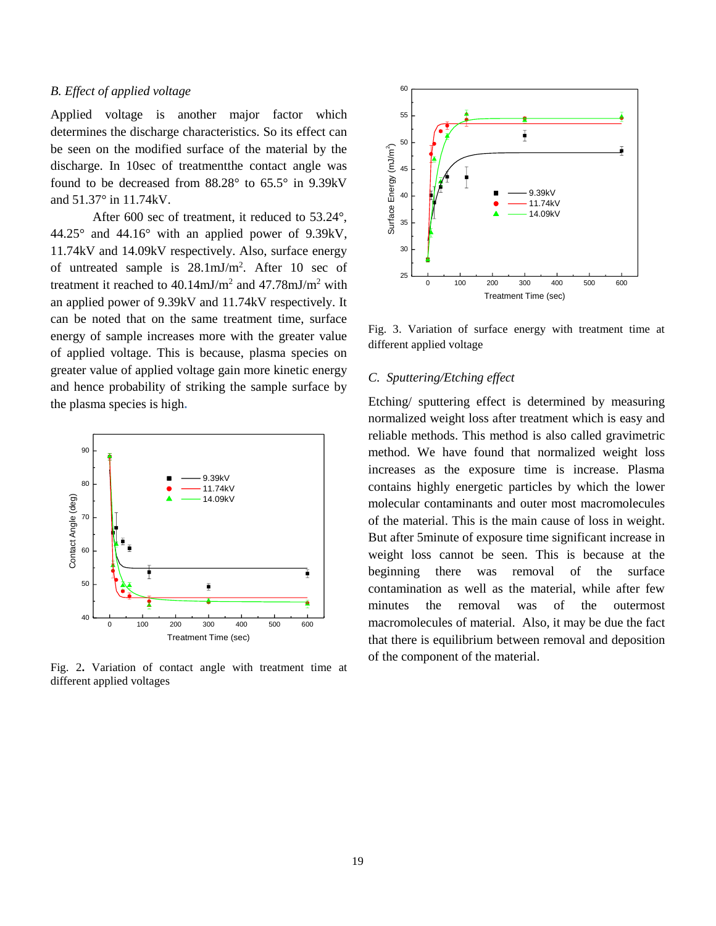# *B. Effect of applied voltage*

Applied voltage is another major factor which determines the discharge characteristics. So its effect can be seen on the modified surface of the material by the discharge. In 10sec of treatmentthe contact angle was found to be decreased from 88.28° to 65.5° in 9.39kV and 51.37° in 11.74kV.

After 600 sec of treatment, it reduced to 53.24°, 44.25° and 44.16° with an applied power of 9.39kV, 11.74kV and 14.09kV respectively. Also, surface energy of untreated sample is  $28.1 \text{mJ/m}^2$ . After 10 sec of treatment it reached to  $40.14 \text{mJ/m}^2$  and  $47.78 \text{mJ/m}^2$  with an applied power of 9.39kV and 11.74kV respectively. It can be noted that on the same treatment time, surface energy of sample increases more with the greater value of applied voltage. This is because, plasma species on greater value of applied voltage gain more kinetic energy and hence probability of striking the sample surface by the plasma species is high**.**



Fig. 2**.** Variation of contact angle with treatment time at different applied voltages



Fig. 3. Variation of surface energy with treatment time at different applied voltage

### *C. Sputtering/Etching effect*

Etching/ sputtering effect is determined by measuring normalized weight loss after treatment which is easy and reliable methods. This method is also called gravimetric method. We have found that normalized weight loss increases as the exposure time is increase. Plasma contains highly energetic particles by which the lower molecular contaminants and outer most macromolecules of the material. This is the main cause of loss in weight. But after 5minute of exposure time significant increase in weight loss cannot be seen. This is because at the beginning there was removal of the surface contamination as well as the material, while after few minutes the removal was of the outermost macromolecules of material. Also, it may be due the fact that there is equilibrium between removal and deposition of the component of the material.